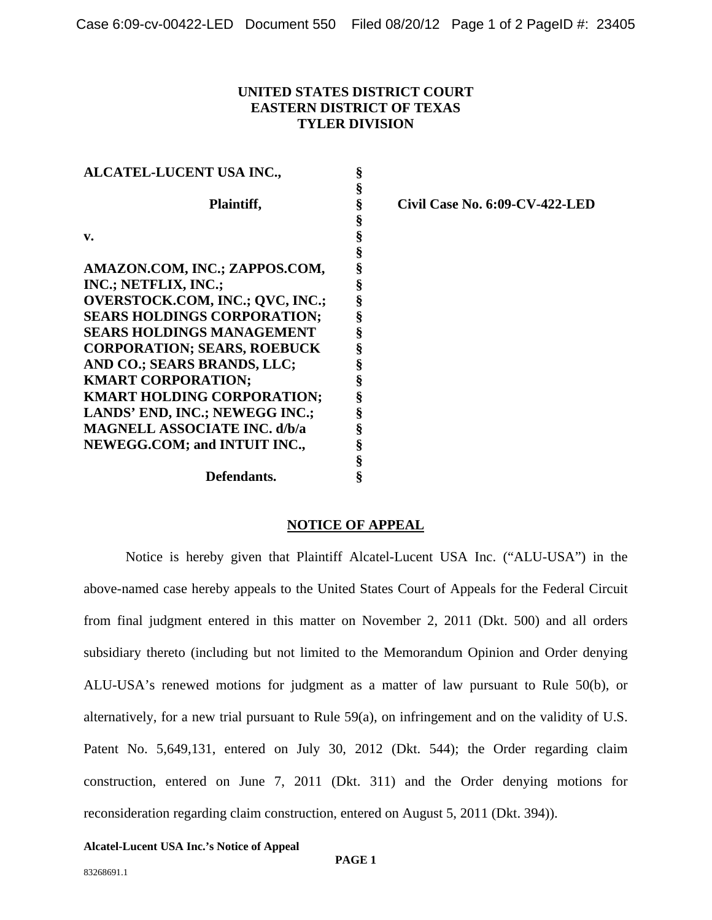## **UNITED STATES DISTRICT COURT EASTERN DISTRICT OF TEXAS TYLER DIVISION**

**§ §** 

**§ § § § § § § § § § § § § § § § §** 

| ALCATEL-LUCENT USA INC.,            | §      |
|-------------------------------------|--------|
|                                     | §      |
| Plaintiff,                          | §      |
|                                     | §      |
| v.                                  | §      |
|                                     | §      |
| AMAZON.COM, INC.; ZAPPOS.COM,       |        |
| INC.; NETFLIX, INC.;                | §<br>§ |
| OVERSTOCK.COM, INC.; QVC, INC.;     | §      |
| <b>SEARS HOLDINGS CORPORATION;</b>  | §      |
| <b>SEARS HOLDINGS MANAGEMENT</b>    | §      |
| <b>CORPORATION; SEARS, ROEBUCK</b>  | §      |
| AND CO.; SEARS BRANDS, LLC;         | §      |
| <b>KMART CORPORATION;</b>           | §      |
| <b>KMART HOLDING CORPORATION;</b>   | §      |
| LANDS' END, INC.; NEWEGG INC.;      | §      |
| <b>MAGNELL ASSOCIATE INC. d/b/a</b> | §      |
| <b>NEWEGG.COM; and INTUIT INC.,</b> | §      |
|                                     | §      |
| Defendants.                         | \$     |

**Civil Case No. 6:09-CV-422-LED** 

## **NOTICE OF APPEAL**

Notice is hereby given that Plaintiff Alcatel-Lucent USA Inc. ("ALU-USA") in the above-named case hereby appeals to the United States Court of Appeals for the Federal Circuit from final judgment entered in this matter on November 2, 2011 (Dkt. 500) and all orders subsidiary thereto (including but not limited to the Memorandum Opinion and Order denying ALU-USA's renewed motions for judgment as a matter of law pursuant to Rule 50(b), or alternatively, for a new trial pursuant to Rule 59(a), on infringement and on the validity of U.S. Patent No. 5,649,131, entered on July 30, 2012 (Dkt. 544); the Order regarding claim construction, entered on June 7, 2011 (Dkt. 311) and the Order denying motions for reconsideration regarding claim construction, entered on August 5, 2011 (Dkt. 394)).

**Alcatel-Lucent USA Inc.'s Notice of Appeal**